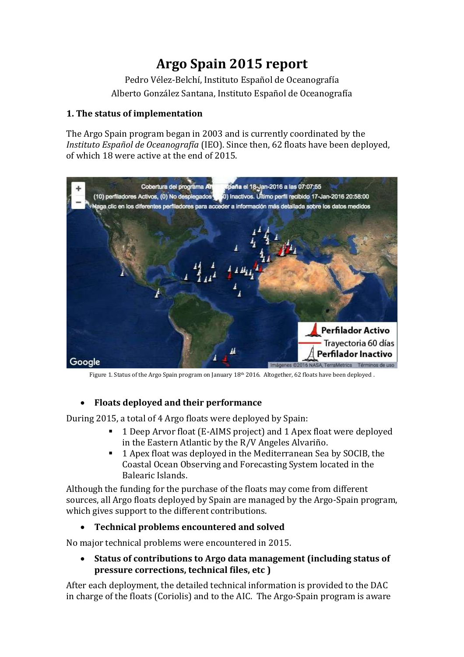# **Argo Spain 2015 report**

Pedro Vélez-Belchí, Instituto Español de Oceanografía Alberto González Santana, Instituto Español de Oceanografía

#### **1. The status of implementation**

The Argo Spain program began in 2003 and is currently coordinated by the *Instituto Español de Oceanografía* (IEO). Since then, 62 floats have been deployed, of which 18 were active at the end of 2015.



Figure 1. Status of the Argo Spain program on January  $18<sup>th</sup> 2016$ . Altogether, 62 floats have been deployed .

#### **Floats deployed and their performance**

During 2015, a total of 4 Argo floats were deployed by Spain:

- 1 Deep Arvor float (E-AIMS project) and 1 Apex float were deployed in the Eastern Atlantic by the R/V Angeles Alvariño.
- 1 Apex float was deployed in the Mediterranean Sea by SOCIB, the Coastal Ocean Observing and Forecasting System located in the Balearic Islands.

Although the funding for the purchase of the floats may come from different sources, all Argo floats deployed by Spain are managed by the Argo-Spain program, which gives support to the different contributions.

#### **Technical problems encountered and solved**

No major technical problems were encountered in 2015.

 **Status of contributions to Argo data management (including status of pressure corrections, technical files, etc )**

After each deployment, the detailed technical information is provided to the DAC in charge of the floats (Coriolis) and to the AIC. The Argo-Spain program is aware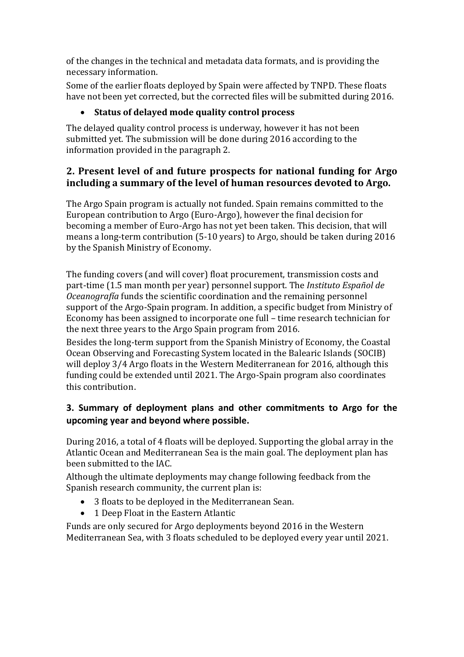of the changes in the technical and metadata data formats, and is providing the necessary information.

Some of the earlier floats deployed by Spain were affected by TNPD. These floats have not been yet corrected, but the corrected files will be submitted during 2016.

## **Status of delayed mode quality control process**

The delayed quality control process is underway, however it has not been submitted yet. The submission will be done during 2016 according to the information provided in the paragraph 2.

## **2. Present level of and future prospects for national funding for Argo including a summary of the level of human resources devoted to Argo.**

The Argo Spain program is actually not funded. Spain remains committed to the European contribution to Argo (Euro-Argo), however the final decision for becoming a member of Euro-Argo has not yet been taken. This decision, that will means a long-term contribution (5-10 years) to Argo, should be taken during 2016 by the Spanish Ministry of Economy.

The funding covers (and will cover) float procurement, transmission costs and part-time (1.5 man month per year) personnel support. The *Instituto Español de Oceanografía* funds the scientific coordination and the remaining personnel support of the Argo-Spain program. In addition, a specific budget from Ministry of Economy has been assigned to incorporate one full – time research technician for the next three years to the Argo Spain program from 2016.

Besides the long-term support from the Spanish Ministry of Economy, the Coastal Ocean Observing and Forecasting System located in the Balearic Islands (SOCIB) will deploy 3/4 Argo floats in the Western Mediterranean for 2016, although this funding could be extended until 2021. The Argo-Spain program also coordinates this contribution.

# **3. Summary of deployment plans and other commitments to Argo for the upcoming year and beyond where possible.**

During 2016, a total of 4 floats will be deployed. Supporting the global array in the Atlantic Ocean and Mediterranean Sea is the main goal. The deployment plan has been submitted to the IAC.

Although the ultimate deployments may change following feedback from the Spanish research community, the current plan is:

- 3 floats to be deployed in the Mediterranean Sean.
- 1 Deep Float in the Eastern Atlantic

Funds are only secured for Argo deployments beyond 2016 in the Western Mediterranean Sea, with 3 floats scheduled to be deployed every year until 2021.